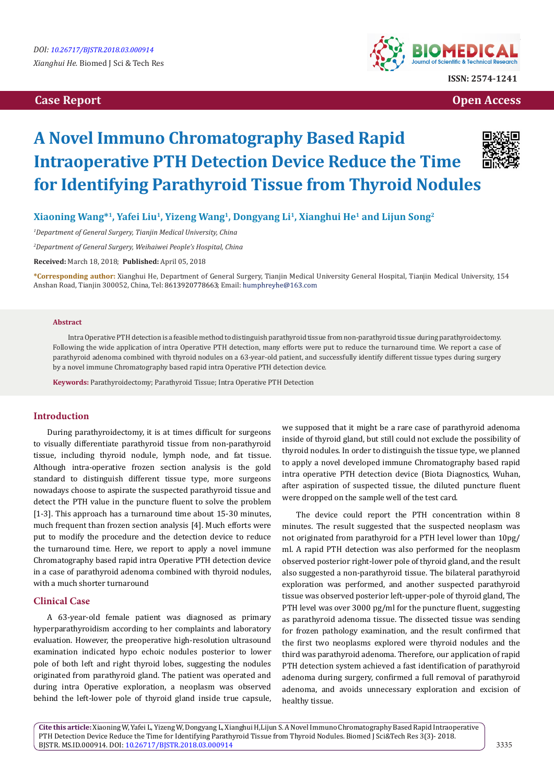# **Case Report Open Access**



# **A Novel Immuno Chromatography Based Rapid Intraoperative PTH Detection Device Reduce the Time for Identifying Parathyroid Tissue from Thyroid Nodules**



**Xiaoning Wang\*1, Yafei Liu1, Yizeng Wang1, Dongyang Li1, Xianghui He1 and Lijun Song2**

*1 Department of General Surgery, Tianjin Medical University, China*

*2 Department of General Surgery, Weihaiwei People's Hospital, China*

**Received:** March 18, 2018; **Published:** April 05, 2018

**\*Corresponding author:** Xianghui He, Department of General Surgery, Tianjin Medical University General Hospital, Tianjin Medical University, 154 Anshan Road, Tianjin 300052, China, Tel: 8613920778663; Email: humphreyhe@163.com

#### **Abstract**

 Intra Operative PTH detection is a feasible method to distinguish parathyroid tissue from non-parathyroid tissue during parathyroidectomy. Following the wide application of intra Operative PTH detection, many efforts were put to reduce the turnaround time. We report a case of parathyroid adenoma combined with thyroid nodules on a 63-year-old patient, and successfully identify different tissue types during surgery by a novel immune Chromatography based rapid intra Operative PTH detection device.

**Keywords:** Parathyroidectomy; Parathyroid Tissue; Intra Operative PTH Detection

# **Introduction**

During parathyroidectomy, it is at times difficult for surgeons to visually differentiate parathyroid tissue from non-parathyroid tissue, including thyroid nodule, lymph node, and fat tissue. Although intra-operative frozen section analysis is the gold standard to distinguish different tissue type, more surgeons nowadays choose to aspirate the suspected parathyroid tissue and detect the PTH value in the puncture fluent to solve the problem [1-3]. This approach has a turnaround time about 15-30 minutes, much frequent than frozen section analysis [4]. Much efforts were put to modify the procedure and the detection device to reduce the turnaround time. Here, we report to apply a novel immune Chromatography based rapid intra Operative PTH detection device in a case of parathyroid adenoma combined with thyroid nodules, with a much shorter turnaround

## **Clinical Case**

A 63-year-old female patient was diagnosed as primary hyperparathyroidism according to her complaints and laboratory evaluation. However, the preoperative high-resolution ultrasound examination indicated hypo echoic nodules posterior to lower pole of both left and right thyroid lobes, suggesting the nodules originated from parathyroid gland. The patient was operated and during intra Operative exploration, a neoplasm was observed behind the left-lower pole of thyroid gland inside true capsule,

we supposed that it might be a rare case of parathyroid adenoma inside of thyroid gland, but still could not exclude the possibility of thyroid nodules. In order to distinguish the tissue type, we planned to apply a novel developed immune Chromatography based rapid intra operative PTH detection device (Biota Diagnostics, Wuhan, after aspiration of suspected tissue, the diluted puncture fluent were dropped on the sample well of the test card.

The device could report the PTH concentration within 8 minutes. The result suggested that the suspected neoplasm was not originated from parathyroid for a PTH level lower than 10pg/ ml. A rapid PTH detection was also performed for the neoplasm observed posterior right-lower pole of thyroid gland, and the result also suggested a non-parathyroid tissue. The bilateral parathyroid exploration was performed, and another suspected parathyroid tissue was observed posterior left-upper-pole of thyroid gland, The PTH level was over 3000 pg/ml for the puncture fluent, suggesting as parathyroid adenoma tissue. The dissected tissue was sending for frozen pathology examination, and the result confirmed that the first two neoplasms explored were thyroid nodules and the third was parathyroid adenoma. Therefore, our application of rapid PTH detection system achieved a fast identification of parathyroid adenoma during surgery, confirmed a full removal of parathyroid adenoma, and avoids unnecessary exploration and excision of healthy tissue.

**Cite this article:** Xiaoning W, Yafei L, Yizeng W, Dongyang L, Xianghui H,Lijun S. A Novel Immuno Chromatography Based Rapid Intraoperative PTH Detection Device Reduce the Time for Identifying Parathyroid Tissue from Thyroid Nodules. Biomed J Sci&Tech Res 3(3)- 2018. BJSTR. MS.ID.000914. DOI: [10.26717/BJSTR.2018.03.000914](http://dx.doi.org/10.26717/BJSTR.2018.03.000914)